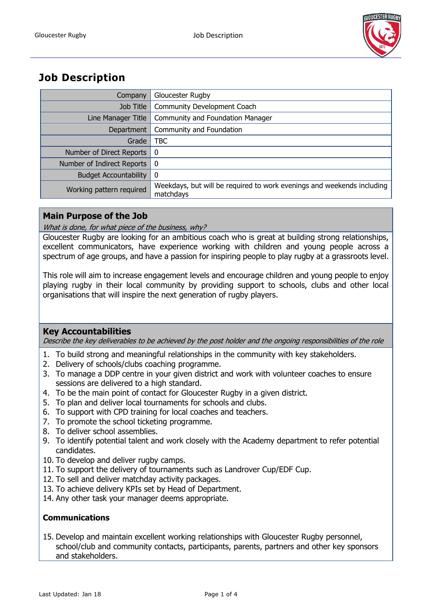

## **Job Description**

| Company                      | Gloucester Rugby                                                                    |
|------------------------------|-------------------------------------------------------------------------------------|
| Job Title                    | Community Development Coach                                                         |
| Line Manager Title           | Community and Foundation Manager                                                    |
| Department                   | Community and Foundation                                                            |
| Grade                        | <b>TBC</b>                                                                          |
| Number of Direct Reports     | - 0                                                                                 |
| Number of Indirect Reports   | - 0                                                                                 |
| <b>Budget Accountability</b> | -0                                                                                  |
| Working pattern required     | Weekdays, but will be required to work evenings and weekends including<br>matchdays |

## **Main Purpose of the Job**

What is done, for what piece of the business, why?

Gloucester Rugby are looking for an ambitious coach who is great at building strong relationships, excellent communicators, have experience working with children and young people across a spectrum of age groups, and have a passion for inspiring people to play rugby at a grassroots level.

This role will aim to increase engagement levels and encourage children and young people to enjoy playing rugby in their local community by providing support to schools, clubs and other local organisations that will inspire the next generation of rugby players.

## **Key Accountabilities**

Describe the key deliverables to be achieved by the post holder and the ongoing responsibilities of the role

- 1. To build strong and meaningful relationships in the community with key stakeholders.
- 2. Delivery of schools/clubs coaching programme.
- 3. To manage a DDP centre in your given district and work with volunteer coaches to ensure sessions are delivered to a high standard.
- 4. To be the main point of contact for Gloucester Rugby in a given district.
- 5. To plan and deliver local tournaments for schools and clubs.
- 6. To support with CPD training for local coaches and teachers.
- 7. To promote the school ticketing programme.
- 8. To deliver school assemblies.
- 9. To identify potential talent and work closely with the Academy department to refer potential candidates.
- 10. To develop and deliver rugby camps.
- 11. To support the delivery of tournaments such as Landrover Cup/EDF Cup.
- 12. To sell and deliver matchday activity packages.
- 13. To achieve delivery KPIs set by Head of Department.
- 14. Any other task your manager deems appropriate.

## **Communications**

15. Develop and maintain excellent working relationships with Gloucester Rugby personnel, school/club and community contacts, participants, parents, partners and other key sponsors and stakeholders.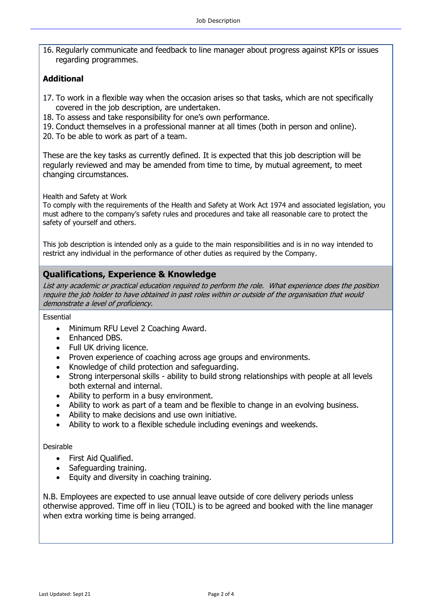16. Regularly communicate and feedback to line manager about progress against KPIs or issues regarding programmes.

## **Additional**

- 17. To work in a flexible way when the occasion arises so that tasks, which are not specifically covered in the job description, are undertaken.
- 18. To assess and take responsibility for one's own performance.
- 19. Conduct themselves in a professional manner at all times (both in person and online).
- 20. To be able to work as part of a team.

These are the key tasks as currently defined. It is expected that this job description will be regularly reviewed and may be amended from time to time, by mutual agreement, to meet changing circumstances.

Health and Safety at Work

To comply with the requirements of the Health and Safety at Work Act 1974 and associated legislation, you must adhere to the company's safety rules and procedures and take all reasonable care to protect the safety of yourself and others.

This job description is intended only as a guide to the main responsibilities and is in no way intended to restrict any individual in the performance of other duties as required by the Company.

## **Qualifications, Experience & Knowledge**

List any academic or practical education required to perform the role. What experience does the position require the job holder to have obtained in past roles within or outside of the organisation that would demonstrate a level of proficiency.

#### Essential

- Minimum RFU Level 2 Coaching Award.
- Enhanced DBS.
- Full UK driving licence.
- Proven experience of coaching across age groups and environments.
- Knowledge of child protection and safeguarding.
- Strong interpersonal skills ability to build strong relationships with people at all levels both external and internal.
- Ability to perform in a busy environment.
- Ability to work as part of a team and be flexible to change in an evolving business.
- Ability to make decisions and use own initiative.
- Ability to work to a flexible schedule including evenings and weekends.

#### Desirable

- First Aid Qualified.
- Safeguarding training.
- Equity and diversity in coaching training.

N.B. Employees are expected to use annual leave outside of core delivery periods unless otherwise approved. Time off in lieu (TOIL) is to be agreed and booked with the line manager when extra working time is being arranged.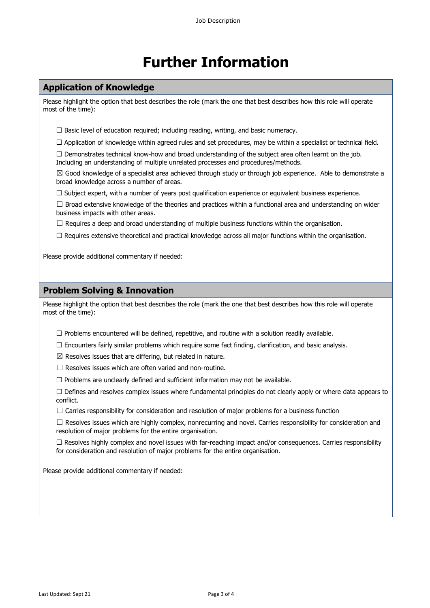# **Further Information**

#### **Application of Knowledge**

Please highlight the option that best describes the role (mark the one that best describes how this role will operate most of the time):

 $\Box$  Basic level of education required; including reading, writing, and basic numeracy.

 $\Box$  Application of knowledge within agreed rules and set procedures, may be within a specialist or technical field.

 $\Box$  Demonstrates technical know-how and broad understanding of the subject area often learnt on the job. Including an understanding of multiple unrelated processes and procedures/methods.

 $\boxtimes$  Good knowledge of a specialist area achieved through study or through job experience. Able to demonstrate a broad knowledge across a number of areas.

□ Subject expert, with a number of years post qualification experience or equivalent business experience.

 $\Box$  Broad extensive knowledge of the theories and practices within a functional area and understanding on wider business impacts with other areas.

 $\Box$  Requires a deep and broad understanding of multiple business functions within the organisation.

☐ Requires extensive theoretical and practical knowledge across all major functions within the organisation.

Please provide additional commentary if needed:

#### **Problem Solving & Innovation**

Please highlight the option that best describes the role (mark the one that best describes how this role will operate most of the time):

 $\Box$  Problems encountered will be defined, repetitive, and routine with a solution readily available.

 $\Box$  Encounters fairly similar problems which require some fact finding, clarification, and basic analysis.

 $\boxtimes$  Resolves issues that are differing, but related in nature.

 $\Box$  Resolves issues which are often varied and non-routine.

 $\Box$  Problems are unclearly defined and sufficient information may not be available.

 $\Box$  Defines and resolves complex issues where fundamental principles do not clearly apply or where data appears to conflict.

 $\Box$  Carries responsibility for consideration and resolution of major problems for a business function

 $\Box$  Resolves issues which are highly complex, nonrecurring and novel. Carries responsibility for consideration and resolution of major problems for the entire organisation.

 $\Box$  Resolves highly complex and novel issues with far-reaching impact and/or consequences. Carries responsibility for consideration and resolution of major problems for the entire organisation.

Please provide additional commentary if needed: